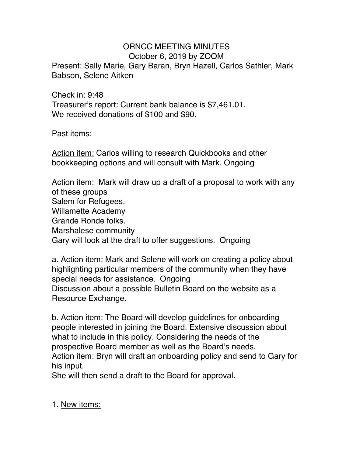## ORNCC MEETING MINUTES October 6, 2019 by ZOOM

Present: Sally Marie, Gary Baran, Bryn Hazell, Carlos Sathler, Mark Babson, Selene Aitken

Check in: 9:48 Treasurer's report: Current bank balance is \$7,461.01. We received donations of \$100 and \$90.

Past items:

Action item: Carlos willing to research Quickbooks and other bookkeeping options and will consult with Mark. Ongoing

Action item: Mark will draw up a draft of a proposal to work with any of these groups Salem for Refugees. Willamette Academy Grande Ronde folks. Marshalese community Gary will look at the draft to offer suggestions. Ongoing

a. Action item: Mark and Selene will work on creating a policy about highlighting particular members of the community when they have special needs for assistance. Ongoing Discussion about a possible Bulletin Board on the website as a Resource Exchange.

b. Action item: The Board will develop guidelines for onboarding people interested in joining the Board. Extensive discussion about what to include in this policy. Considering the needs of the prospective Board member as well as the Board's needs. Action item: Bryn will draft an onboarding policy and send to Gary for his input.

She will then send a draft to the Board for approval.

1. New items: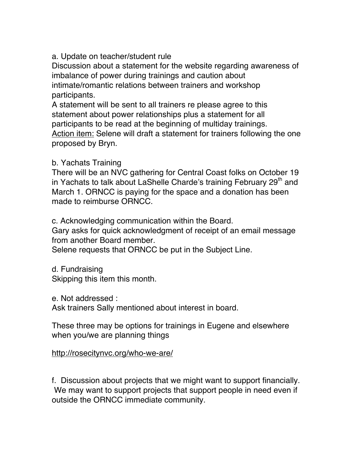a. Update on teacher/student rule

Discussion about a statement for the website regarding awareness of imbalance of power during trainings and caution about intimate/romantic relations between trainers and workshop participants.

A statement will be sent to all trainers re please agree to this statement about power relationships plus a statement for all participants to be read at the beginning of multiday trainings. Action item: Selene will draft a statement for trainers following the one proposed by Bryn.

## b. Yachats Training

There will be an NVC gathering for Central Coast folks on October 19 in Yachats to talk about LaShelle Charde's training February 29<sup>th</sup> and March 1. ORNCC is paying for the space and a donation has been made to reimburse ORNCC.

c. Acknowledging communication within the Board.

Gary asks for quick acknowledgment of receipt of an email message from another Board member.

Selene requests that ORNCC be put in the Subject Line.

d. Fundraising Skipping this item this month.

e. Not addressed :

Ask trainers Sally mentioned about interest in board.

These three may be options for trainings in Eugene and elsewhere when you/we are planning things

## http://rosecitynvc.org/who-we-are/

f. Discussion about projects that we might want to support financially. We may want to support projects that support people in need even if outside the ORNCC immediate community.